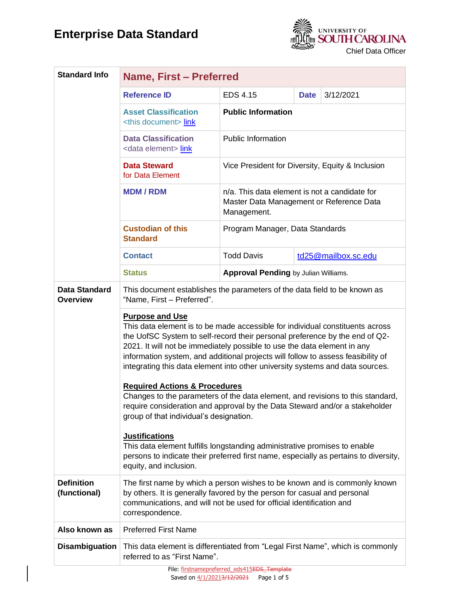## **Enterprise Data Standard**



| <b>Standard Info</b>                    | Name, First - Preferred                                                                                                                                                                                                                                                                                                                                                                                                                 |                                                                                                          |             |                     |  |
|-----------------------------------------|-----------------------------------------------------------------------------------------------------------------------------------------------------------------------------------------------------------------------------------------------------------------------------------------------------------------------------------------------------------------------------------------------------------------------------------------|----------------------------------------------------------------------------------------------------------|-------------|---------------------|--|
|                                         | <b>Reference ID</b>                                                                                                                                                                                                                                                                                                                                                                                                                     | <b>EDS 4.15</b>                                                                                          | <b>Date</b> | 3/12/2021           |  |
|                                         | <b>Asset Classification</b><br><this document=""> link</this>                                                                                                                                                                                                                                                                                                                                                                           | <b>Public Information</b>                                                                                |             |                     |  |
|                                         | <b>Data Classification</b><br><data element=""> link</data>                                                                                                                                                                                                                                                                                                                                                                             | <b>Public Information</b>                                                                                |             |                     |  |
|                                         | <b>Data Steward</b><br>for Data Element                                                                                                                                                                                                                                                                                                                                                                                                 | Vice President for Diversity, Equity & Inclusion                                                         |             |                     |  |
|                                         | <b>MDM/RDM</b>                                                                                                                                                                                                                                                                                                                                                                                                                          | n/a. This data element is not a candidate for<br>Master Data Management or Reference Data<br>Management. |             |                     |  |
|                                         | <b>Custodian of this</b><br><b>Standard</b>                                                                                                                                                                                                                                                                                                                                                                                             | Program Manager, Data Standards                                                                          |             |                     |  |
|                                         | <b>Contact</b>                                                                                                                                                                                                                                                                                                                                                                                                                          | <b>Todd Davis</b>                                                                                        |             | td25@mailbox.sc.edu |  |
|                                         | <b>Status</b>                                                                                                                                                                                                                                                                                                                                                                                                                           | <b>Approval Pending by Julian Williams.</b>                                                              |             |                     |  |
| <b>Data Standard</b><br><b>Overview</b> | This document establishes the parameters of the data field to be known as<br>"Name, First - Preferred".                                                                                                                                                                                                                                                                                                                                 |                                                                                                          |             |                     |  |
|                                         | <b>Purpose and Use</b><br>This data element is to be made accessible for individual constituents across<br>the UofSC System to self-record their personal preference by the end of Q2-<br>2021. It will not be immediately possible to use the data element in any<br>information system, and additional projects will follow to assess feasibility of<br>integrating this data element into other university systems and data sources. |                                                                                                          |             |                     |  |
|                                         | <b>Required Actions &amp; Procedures</b><br>Changes to the parameters of the data element, and revisions to this standard,<br>require consideration and approval by the Data Steward and/or a stakeholder<br>group of that individual's designation.                                                                                                                                                                                    |                                                                                                          |             |                     |  |
|                                         | <b>Justifications</b><br>This data element fulfills longstanding administrative promises to enable<br>persons to indicate their preferred first name, especially as pertains to diversity,<br>equity, and inclusion.                                                                                                                                                                                                                    |                                                                                                          |             |                     |  |
| <b>Definition</b><br>(functional)       | The first name by which a person wishes to be known and is commonly known<br>by others. It is generally favored by the person for casual and personal<br>communications, and will not be used for official identification and<br>correspondence.                                                                                                                                                                                        |                                                                                                          |             |                     |  |
| Also known as                           | <b>Preferred First Name</b>                                                                                                                                                                                                                                                                                                                                                                                                             |                                                                                                          |             |                     |  |
| <b>Disambiguation</b>                   | This data element is differentiated from "Legal First Name", which is commonly<br>referred to as "First Name".                                                                                                                                                                                                                                                                                                                          |                                                                                                          |             |                     |  |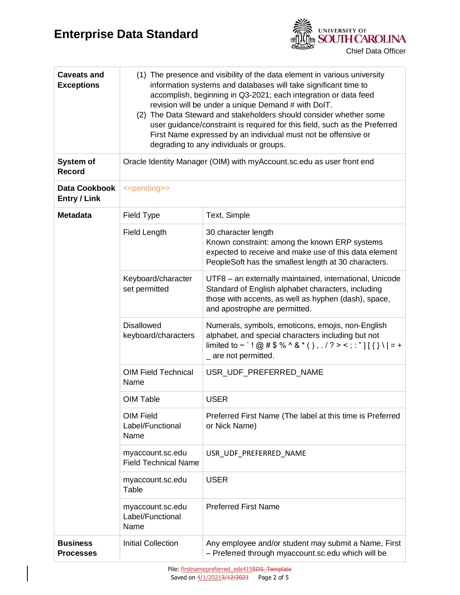

| <b>Caveats and</b><br><b>Exceptions</b> | (1) The presence and visibility of the data element in various university<br>information systems and databases will take significant time to<br>accomplish, beginning in Q3-2021; each integration or data feed<br>revision will be under a unique Demand # with DoIT.<br>(2) The Data Steward and stakeholders should consider whether some<br>user guidance/constraint is required for this field, such as the Preferred<br>First Name expressed by an individual must not be offensive or<br>degrading to any individuals or groups. |                                                                                                                                                                                                        |  |
|-----------------------------------------|-----------------------------------------------------------------------------------------------------------------------------------------------------------------------------------------------------------------------------------------------------------------------------------------------------------------------------------------------------------------------------------------------------------------------------------------------------------------------------------------------------------------------------------------|--------------------------------------------------------------------------------------------------------------------------------------------------------------------------------------------------------|--|
| System of<br><b>Record</b>              | Oracle Identity Manager (OIM) with myAccount.sc.edu as user front end                                                                                                                                                                                                                                                                                                                                                                                                                                                                   |                                                                                                                                                                                                        |  |
| Data Cookbook<br><b>Entry / Link</b>    | < <pending>&gt;</pending>                                                                                                                                                                                                                                                                                                                                                                                                                                                                                                               |                                                                                                                                                                                                        |  |
| <b>Metadata</b>                         | Field Type                                                                                                                                                                                                                                                                                                                                                                                                                                                                                                                              | Text, Simple                                                                                                                                                                                           |  |
|                                         | Field Length                                                                                                                                                                                                                                                                                                                                                                                                                                                                                                                            | 30 character length<br>Known constraint: among the known ERP systems<br>expected to receive and make use of this data element<br>PeopleSoft has the smallest length at 30 characters.                  |  |
|                                         | Keyboard/character<br>set permitted                                                                                                                                                                                                                                                                                                                                                                                                                                                                                                     | UTF8 - an externally maintained, international, Unicode<br>Standard of English alphabet characters, including<br>those with accents, as well as hyphen (dash), space,<br>and apostrophe are permitted. |  |
|                                         | <b>Disallowed</b><br>keyboard/characters                                                                                                                                                                                                                                                                                                                                                                                                                                                                                                | Numerals, symbols, emoticons, emojis, non-English<br>alphabet, and special characters including but not<br>limited to ~ `! @ # \$ % ^ & * (), . / ? > <; : "][{}\  = +<br>_ are not permitted.         |  |
|                                         | <b>OIM Field Technical</b><br>Name                                                                                                                                                                                                                                                                                                                                                                                                                                                                                                      | USR_UDF_PREFERRED_NAME                                                                                                                                                                                 |  |
|                                         | OIM Table                                                                                                                                                                                                                                                                                                                                                                                                                                                                                                                               | <b>USER</b>                                                                                                                                                                                            |  |
|                                         | OIM Field<br>Label/Functional<br>Name                                                                                                                                                                                                                                                                                                                                                                                                                                                                                                   | Preferred First Name (The label at this time is Preferred<br>or Nick Name)                                                                                                                             |  |
|                                         | myaccount.sc.edu<br><b>Field Technical Name</b>                                                                                                                                                                                                                                                                                                                                                                                                                                                                                         | USR UDF PREFERRED NAME                                                                                                                                                                                 |  |
|                                         | myaccount.sc.edu<br>Table                                                                                                                                                                                                                                                                                                                                                                                                                                                                                                               | <b>USER</b>                                                                                                                                                                                            |  |
|                                         | myaccount.sc.edu<br>Label/Functional<br>Name                                                                                                                                                                                                                                                                                                                                                                                                                                                                                            | <b>Preferred First Name</b>                                                                                                                                                                            |  |
| <b>Business</b><br><b>Processes</b>     | <b>Initial Collection</b>                                                                                                                                                                                                                                                                                                                                                                                                                                                                                                               | Any employee and/or student may submit a Name, First<br>- Preferred through myaccount.sc.edu which will be                                                                                             |  |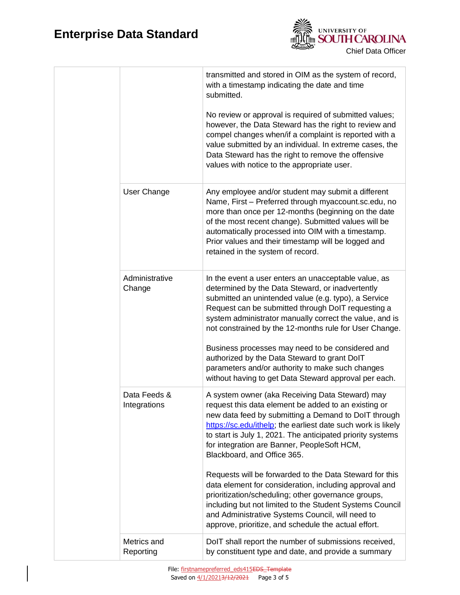

|                              | transmitted and stored in OIM as the system of record,<br>with a timestamp indicating the date and time<br>submitted.<br>No review or approval is required of submitted values;<br>however, the Data Steward has the right to review and<br>compel changes when/if a complaint is reported with a<br>value submitted by an individual. In extreme cases, the<br>Data Steward has the right to remove the offensive<br>values with notice to the appropriate user.                                                                                                                                                   |
|------------------------------|---------------------------------------------------------------------------------------------------------------------------------------------------------------------------------------------------------------------------------------------------------------------------------------------------------------------------------------------------------------------------------------------------------------------------------------------------------------------------------------------------------------------------------------------------------------------------------------------------------------------|
| User Change                  | Any employee and/or student may submit a different<br>Name, First - Preferred through myaccount.sc.edu, no<br>more than once per 12-months (beginning on the date<br>of the most recent change). Submitted values will be<br>automatically processed into OIM with a timestamp.<br>Prior values and their timestamp will be logged and<br>retained in the system of record.                                                                                                                                                                                                                                         |
| Administrative<br>Change     | In the event a user enters an unacceptable value, as<br>determined by the Data Steward, or inadvertently<br>submitted an unintended value (e.g. typo), a Service<br>Request can be submitted through DoIT requesting a<br>system administrator manually correct the value, and is<br>not constrained by the 12-months rule for User Change.<br>Business processes may need to be considered and<br>authorized by the Data Steward to grant DoIT<br>parameters and/or authority to make such changes<br>without having to get Data Steward approval per each.                                                        |
| Data Feeds &<br>Integrations | A system owner (aka Receiving Data Steward) may<br>request this data element be added to an existing or<br>new data feed by submitting a Demand to DoIT through<br>https://sc.edu/ithelp; the earliest date such work is likely<br>to start is July 1, 2021. The anticipated priority systems<br>for integration are Banner, PeopleSoft HCM,<br>Blackboard, and Office 365.<br>Requests will be forwarded to the Data Steward for this<br>data element for consideration, including approval and<br>prioritization/scheduling; other governance groups,<br>including but not limited to the Student Systems Council |
| Metrics and<br>Reporting     | and Administrative Systems Council, will need to<br>approve, prioritize, and schedule the actual effort.<br>DoIT shall report the number of submissions received,<br>by constituent type and date, and provide a summary                                                                                                                                                                                                                                                                                                                                                                                            |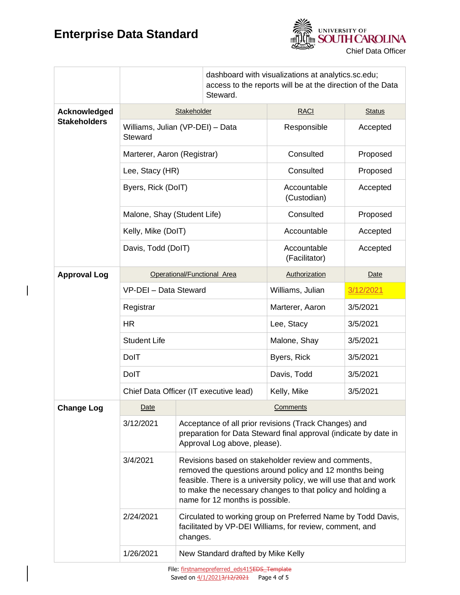## **Enterprise Data Standard**

 $\overline{\phantom{a}}$ 



|                     |                                             | dashboard with visualizations at analytics.sc.edu;<br>access to the reports will be at the direction of the Data<br>Steward.                                                                                                                                                         |                              |                                        |          |
|---------------------|---------------------------------------------|--------------------------------------------------------------------------------------------------------------------------------------------------------------------------------------------------------------------------------------------------------------------------------------|------------------------------|----------------------------------------|----------|
| Acknowledged        | Stakeholder                                 |                                                                                                                                                                                                                                                                                      | <b>RACI</b>                  | <b>Status</b>                          |          |
| <b>Stakeholders</b> | Williams, Julian (VP-DEI) - Data<br>Steward |                                                                                                                                                                                                                                                                                      | Responsible                  | Accepted                               |          |
|                     | Marterer, Aaron (Registrar)                 |                                                                                                                                                                                                                                                                                      | Consulted                    | Proposed                               |          |
|                     | Lee, Stacy (HR)                             |                                                                                                                                                                                                                                                                                      | Consulted                    | Proposed                               |          |
|                     | Byers, Rick (DoIT)                          |                                                                                                                                                                                                                                                                                      |                              | Accountable<br>Accepted<br>(Custodian) |          |
|                     | Malone, Shay (Student Life)                 |                                                                                                                                                                                                                                                                                      |                              | Consulted                              | Proposed |
|                     | Kelly, Mike (DoIT)                          |                                                                                                                                                                                                                                                                                      | Accountable                  | Accepted                               |          |
|                     | Davis, Todd (DoIT)                          |                                                                                                                                                                                                                                                                                      | Accountable<br>(Facilitator) | Accepted                               |          |
| <b>Approval Log</b> | Operational/Functional Area                 |                                                                                                                                                                                                                                                                                      | Authorization                | <b>Date</b>                            |          |
|                     | VP-DEI - Data Steward                       |                                                                                                                                                                                                                                                                                      | Williams, Julian             | 3/12/2021                              |          |
|                     | Registrar                                   |                                                                                                                                                                                                                                                                                      | Marterer, Aaron              | 3/5/2021                               |          |
|                     | <b>HR</b>                                   |                                                                                                                                                                                                                                                                                      | Lee, Stacy                   | 3/5/2021                               |          |
|                     | <b>Student Life</b>                         |                                                                                                                                                                                                                                                                                      | Malone, Shay                 | 3/5/2021                               |          |
|                     | <b>DolT</b>                                 |                                                                                                                                                                                                                                                                                      | Byers, Rick                  | 3/5/2021                               |          |
|                     | <b>DolT</b>                                 |                                                                                                                                                                                                                                                                                      | Davis, Todd                  | 3/5/2021                               |          |
|                     | Chief Data Officer (IT executive lead)      |                                                                                                                                                                                                                                                                                      | Kelly, Mike                  | 3/5/2021                               |          |
| <b>Change Log</b>   | Date                                        | Comments                                                                                                                                                                                                                                                                             |                              |                                        |          |
|                     | 3/12/2021                                   | Acceptance of all prior revisions (Track Changes) and<br>preparation for Data Steward final approval (indicate by date in<br>Approval Log above, please).                                                                                                                            |                              |                                        |          |
|                     | 3/4/2021                                    | Revisions based on stakeholder review and comments,<br>removed the questions around policy and 12 months being<br>feasible. There is a university policy, we will use that and work<br>to make the necessary changes to that policy and holding a<br>name for 12 months is possible. |                              |                                        |          |
|                     | 2/24/2021                                   | Circulated to working group on Preferred Name by Todd Davis,<br>facilitated by VP-DEI Williams, for review, comment, and<br>changes.                                                                                                                                                 |                              |                                        |          |
|                     | 1/26/2021                                   | New Standard drafted by Mike Kelly                                                                                                                                                                                                                                                   |                              |                                        |          |